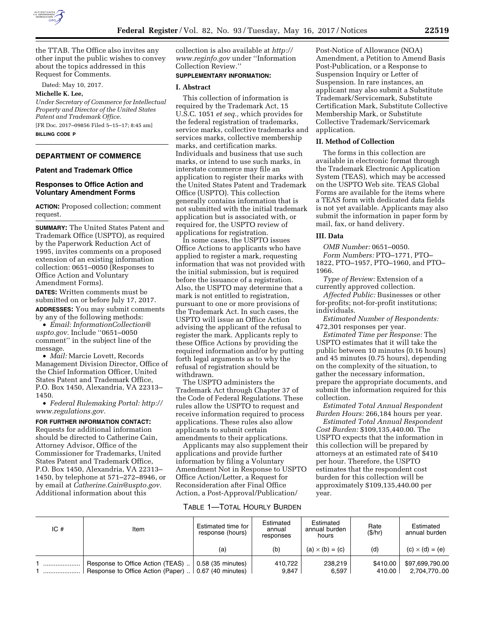

the TTAB. The Office also invites any other input the public wishes to convey about the topics addressed in this Request for Comments.

Dated: May 10, 2017.

## **Michelle K. Lee,**

*Under Secretary of Commerce for Intellectual Property and Director of the United States Patent and Trademark Office.* 

[FR Doc. 2017–09856 Filed 5–15–17; 8:45 am] **BILLING CODE P** 

## **DEPARTMENT OF COMMERCE**

### **Patent and Trademark Office**

## **Responses to Office Action and Voluntary Amendment Forms**

**ACTION:** Proposed collection; comment request.

**SUMMARY:** The United States Patent and Trademark Office (USPTO), as required by the Paperwork Reduction Act of 1995, invites comments on a proposed extension of an existing information collection: 0651–0050 (Responses to Office Action and Voluntary Amendment Forms).

**DATES:** Written comments must be submitted on or before July 17, 2017.

**ADDRESSES:** You may submit comments by any of the following methods:

• *Email: [InformationCollection@](mailto:InformationCollection@uspto.gov) [uspto.gov.](mailto:InformationCollection@uspto.gov)* Include ''0651–0050 comment'' in the subject line of the message.

• *Mail:* Marcie Lovett, Records Management Division Director, Office of the Chief Information Officer, United States Patent and Trademark Office, P.O. Box 1450, Alexandria, VA 22313– 1450.

• *Federal Rulemaking Portal: [http://](http://www.regulations.gov) [www.regulations.gov.](http://www.regulations.gov)* 

## **FOR FURTHER INFORMATION CONTACT:**

Requests for additional information should be directed to Catherine Cain, Attorney Advisor, Office of the Commissioner for Trademarks, United States Patent and Trademark Office, P.O. Box 1450, Alexandria, VA 22313– 1450, by telephone at 571–272–8946, or by email at *[Catherine.Cain@uspto.gov.](mailto:Catherine.Cain@uspto.gov)*  Additional information about this

collection is also available at *[http://](http://www.reginfo.gov) [www.reginfo.gov](http://www.reginfo.gov)* under ''Information Collection Review.''

## **SUPPLEMENTARY INFORMATION:**

## **I. Abstract**

This collection of information is required by the Trademark Act, 15 U.S.C. 1051 *et seq.,* which provides for the federal registration of trademarks, service marks, collective trademarks and services marks, collective membership marks, and certification marks. Individuals and business that use such marks, or intend to use such marks, in interstate commerce may file an application to register their marks with the United States Patent and Trademark Office (USPTO). This collection generally contains information that is not submitted with the initial trademark application but is associated with, or required for, the USPTO review of applications for registration.

In some cases, the USPTO issues Office Actions to applicants who have applied to register a mark, requesting information that was not provided with the initial submission, but is required before the issuance of a registration. Also, the USPTO may determine that a mark is not entitled to registration, pursuant to one or more provisions of the Trademark Act. In such cases, the USPTO will issue an Office Action advising the applicant of the refusal to register the mark. Applicants reply to these Office Actions by providing the required information and/or by putting forth legal arguments as to why the refusal of registration should be withdrawn.

The USPTO administers the Trademark Act through Chapter 37 of the Code of Federal Regulations. These rules allow the USPTO to request and receive information required to process applications. These rules also allow applicants to submit certain amendments to their applications.

Applicants may also supplement their applications and provide further information by filing a Voluntary Amendment Not in Response to USPTO Office Action/Letter, a Request for Reconsideration after Final Office Action, a Post-Approval/Publication/

Post-Notice of Allowance (NOA) Amendment, a Petition to Amend Basis Post-Publication, or a Response to Suspension Inquiry or Letter of Suspension. In rare instances, an applicant may also submit a Substitute Trademark/Servicemark, Substitute Certification Mark, Substitute Collective Membership Mark, or Substitute Collective Trademark/Servicemark application.

## **II. Method of Collection**

The forms in this collection are available in electronic format through the Trademark Electronic Application System (TEAS), which may be accessed on the USPTO Web site. TEAS Global Forms are available for the items where a TEAS form with dedicated data fields is not yet available. Applicants may also submit the information in paper form by mail, fax, or hand delivery.

## **III. Data**

*OMB Number:* 0651–0050. *Form Numbers:* PTO–1771, PTO– 1822, PTO–1957, PTO–1960, and PTO– 1966.

*Type of Review:* Extension of a currently approved collection.

*Affected Public:* Businesses or other for-profits; not-for-profit institutions; individuals.

*Estimated Number of Respondents:*  472,301 responses per year.

*Estimated Time per Response:* The USPTO estimates that it will take the public between 10 minutes (0.16 hours) and 45 minutes (0.75 hours), depending on the complexity of the situation, to gather the necessary information, prepare the appropriate documents, and submit the information required for this collection.

*Estimated Total Annual Respondent Burden Hours:* 266,184 hours per year.

*Estimated Total Annual Respondent Cost Burden:* \$109,135,440.00. The USPTO expects that the information in this collection will be prepared by attorneys at an estimated rate of \$410 per hour. Therefore, the USPTO estimates that the respondent cost burden for this collection will be approximately \$109,135,440.00 per year.

#### TABLE 1—TOTAL HOURLY BURDEN

| IC# | Item                                                                                             | Estimated time for<br>response (hours) | Estimated<br>annual<br>responses | Estimated<br>annual burden<br>hours | Rate<br>(S/hr)     | Estimated<br>annual burden     |
|-----|--------------------------------------------------------------------------------------------------|----------------------------------------|----------------------------------|-------------------------------------|--------------------|--------------------------------|
|     |                                                                                                  | (a)                                    | (b)                              | $(a) \times (b) = (c)$              | (d)                | $(c) \times (d) = (e)$         |
|     | Response to Office Action (TEAS)<br>Response to Office Action (Paper) $\ldots$ 0.67 (40 minutes) | 0.58 (35 minutes)                      | 410.722<br>9.847                 | 238.219<br>6,597                    | \$410.00<br>410.00 | \$97,699,790.00<br>2.704.77000 |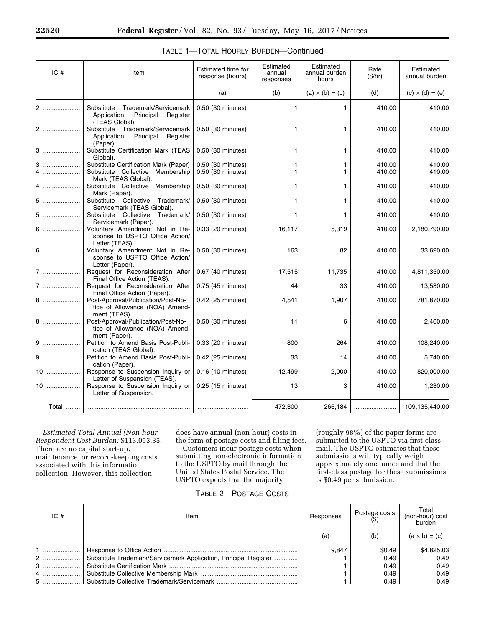| IC#    | Item                                                                                             | Estimated time for<br>response (hours) | Estimated<br>annual<br>responses | Estimated<br>annual burden<br>hours | Rate<br>(\$/hr)  | Estimated<br>annual burden |
|--------|--------------------------------------------------------------------------------------------------|----------------------------------------|----------------------------------|-------------------------------------|------------------|----------------------------|
|        |                                                                                                  | (a)                                    | (b)                              | $(a) \times (b) = (c)$              | (d)              | $(c) \times (d) = (e)$     |
| 2      | Substitute<br>Trademark/Servicemark<br>Application,<br>Principal<br>Register<br>(TEAS Global).   | 0.50 (30 minutes)                      | 1                                | 1.                                  | 410.00           | 410.00                     |
| 2      | Substitute Trademark/Servicemark<br>Principal<br>Application,<br>Register<br>(Paper).            | 0.50 (30 minutes)                      | 1                                | 1                                   | 410.00           | 410.00                     |
| 3      | Substitute Certification Mark (TEAS<br>Global).                                                  | 0.50 (30 minutes)                      | 1                                | 1.                                  | 410.00           | 410.00                     |
| 3<br>4 | Substitute Certification Mark (Paper)<br>Substitute Collective Membership<br>Mark (TEAS Global). | 0.50 (30 minutes)<br>0.50 (30 minutes) | 1.<br>1.                         | 1.<br>1                             | 410.00<br>410.00 | 410.00<br>410.00           |
| 4      | Substitute Collective<br>Membership<br>Mark (Paper).                                             | 0.50 (30 minutes)                      | 1                                | 1.                                  | 410.00           | 410.00                     |
| $5$    | Substitute Collective<br>Trademark/<br>Servicemark (TEAS Global).                                | 0.50 (30 minutes)                      | 1.                               | $\mathbf{1}$                        | 410.00           | 410.00                     |
| $5$    | Substitute Collective<br>Trademark/<br>Servicemark (Paper).                                      | 0.50 (30 minutes)                      | 1.                               | 1.                                  | 410.00           | 410.00                     |
| $6$    | Voluntary Amendment Not in Re-<br>sponse to USPTO Office Action/<br>Letter (TEAS).               | 0.33 (20 minutes)                      | 16,117                           | 5,319                               | 410.00           | 2,180,790.00               |
| 6      | Voluntary Amendment Not in Re-<br>sponse to USPTO Office Action/<br>Letter (Paper).              | 0.50 (30 minutes)                      | 163                              | 82                                  | 410.00           | 33,620.00                  |
| 7      | Request for Reconsideration After<br>Final Office Action (TEAS).                                 | 0.67 (40 minutes)                      | 17,515                           | 11,735                              | 410.00           | 4,811,350.00               |
| $7$    | Request for Reconsideration After<br>Final Office Action (Paper).                                | 0.75 (45 minutes)                      | 44                               | 33                                  | 410.00           | 13,530.00                  |
| 8      | Post-Approval/Publication/Post-No-<br>tice of Allowance (NOA) Amend-<br>ment (TEAS).             | 0.42 (25 minutes)                      | 4,541                            | 1,907                               | 410.00           | 781,870.00                 |
| 8      | Post-Approval/Publication/Post-No-<br>tice of Allowance (NOA) Amend-<br>ment (Paper).            | 0.50 (30 minutes)                      | 11                               | 6                                   | 410.00           | 2,460.00                   |
| $9$    | Petition to Amend Basis Post-Publi-<br>cation (TEAS Global).                                     | 0.33 (20 minutes)                      | 800                              | 264                                 | 410.00           | 108,240.00                 |
|        | Petition to Amend Basis Post-Publi-<br>cation (Paper).                                           | 0.42 (25 minutes)                      | 33                               | 14                                  | 410.00           | 5,740.00                   |
| 10     | Response to Suspension Inquiry or<br>Letter of Suspension (TEAS).                                | 0.16 (10 minutes)                      | 12,499                           | 2,000                               | 410.00           | 820,000.00                 |
| $10$   | Response to Suspension Inquiry or<br>Letter of Suspension.                                       | 0.25 (15 minutes)                      | 13                               | з                                   | 410.00           | 1,230.00                   |
| Total  |                                                                                                  |                                        | 472,300                          | 266,184                             |                  | 109,135,440.00             |

# TABLE 1—TOTAL HOURLY BURDEN—Continued

*Estimated Total Annual (Non-hour Respondent Cost Burden:* \$113,053.35. There are no capital start-up, maintenance, or record-keeping costs associated with this information collection. However, this collection

does have annual (non-hour) costs in the form of postage costs and filing fees.

Customers incur postage costs when submitting non-electronic information to the USPTO by mail through the United States Postal Service. The USPTO expects that the majority

(roughly 98%) of the paper forms are submitted to the USPTO via first-class mail. The USPTO estimates that these submissions will typically weigh approximately one ounce and that the first-class postage for these submissions is \$0.49 per submission.

# TABLE 2—POSTAGE COSTS

| IC# | Item                                                             | Responses | Postage costs | Total<br>(non-hour) cost<br>burden |
|-----|------------------------------------------------------------------|-----------|---------------|------------------------------------|
|     |                                                                  | (a)       | (b)           | $(a \times b) = (c)$               |
| $1$ |                                                                  | 9.847     | \$0.49        | \$4,825.03                         |
| 2   | Substitute Trademark/Servicemark Application, Principal Register |           | 0.49          | 0.49                               |
| $3$ |                                                                  |           | 0.49          | 0.49                               |
| 4   |                                                                  |           | 0.49          | 0.49                               |
| $5$ |                                                                  |           | 0.49          | 0.49                               |